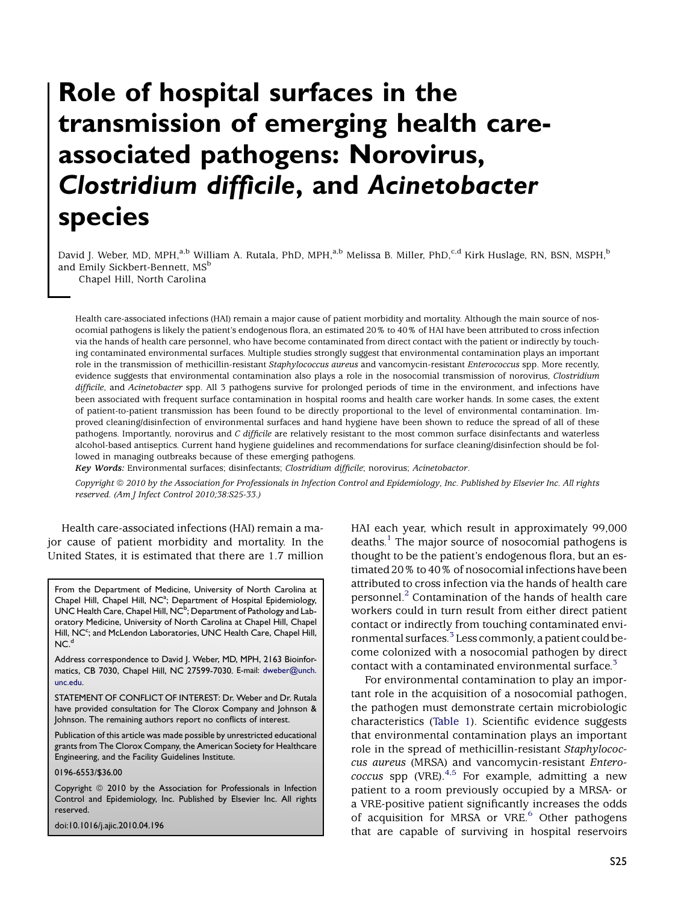# Role of hospital surfaces in the transmission of emerging health careassociated pathogens: Norovirus, Clostridium difficile, and Acinetobacter species

David J. Weber, MD, MPH,<sup>a,b</sup> William A. Rutala, PhD, MPH,<sup>a,b</sup> Melissa B. Miller, PhD,<sup>c,d</sup> Kirk Huslage, RN, BSN, MSPH,<sup>b</sup> and Emily Sickbert-Bennett, MS<sup>b</sup>

Chapel Hill, North Carolina

Health care-associated infections (HAI) remain a major cause of patient morbidity and mortality. Although the main source of nosocomial pathogens is likely the patient's endogenous flora, an estimated 20% to 40% of HAI have been attributed to cross infection via the hands of health care personnel, who have become contaminated from direct contact with the patient or indirectly by touching contaminated environmental surfaces. Multiple studies strongly suggest that environmental contamination plays an important role in the transmission of methicillin-resistant Staphylococcus aureus and vancomycin-resistant Enterococcus spp. More recently, evidence suggests that environmental contamination also plays a role in the nosocomial transmission of norovirus, Clostridium difficile, and Acinetobacter spp. All 3 pathogens survive for prolonged periods of time in the environment, and infections have been associated with frequent surface contamination in hospital rooms and health care worker hands. In some cases, the extent of patient-to-patient transmission has been found to be directly proportional to the level of environmental contamination. Improved cleaning/disinfection of environmental surfaces and hand hygiene have been shown to reduce the spread of all of these pathogens. Importantly, norovirus and C difficile are relatively resistant to the most common surface disinfectants and waterless alcohol-based antiseptics. Current hand hygiene guidelines and recommendations for surface cleaning/disinfection should be followed in managing outbreaks because of these emerging pathogens.

Key Words: Environmental surfaces; disinfectants; Clostridium difficile; norovirus; Acinetobactor.

Copyright © 2010 by the Association for Professionals in Infection Control and Epidemiology, Inc. Published by Elsevier Inc. All rights reserved. (Am J Infect Control 2010;38:S25-33.)

Health care-associated infections (HAI) remain a major cause of patient morbidity and mortality. In the United States, it is estimated that there are 1.7 million

From the Department of Medicine, University of North Carolina at Chapel Hill, Chapel Hill, NC<sup>a</sup>; Department of Hospital Epidemiology, UNC Health Care, Chapel Hill, NC $^{\rm b}$ ; Department of Pathology and Laboratory Medicine, University of North Carolina at Chapel Hill, Chapel Hill, NC<sup>c</sup>; and McLendon Laboratories, UNC Health Care, Chapel Hill,  $NC<sup>d</sup>$ 

Address correspondence to David J. Weber, MD, MPH, 2163 Bioinformatics, CB 7030, Chapel Hill, NC 27599-7030. E-mail: [dweber@unch.](mailto:dweber@unch.unc.edu) [unc.edu](mailto:dweber@unch.unc.edu).

STATEMENT OF CONFLICT OF INTEREST: Dr. Weber and Dr. Rutala have provided consultation for The Clorox Company and Johnson & Johnson. The remaining authors report no conflicts of interest.

Publication of this article was made possible by unrestricted educational grants from The Clorox Company, the American Society for Healthcare Engineering, and the Facility Guidelines Institute.

0196-6553/\$36.00

Copyright © 2010 by the Association for Professionals in Infection Control and Epidemiology, Inc. Published by Elsevier Inc. All rights reserved.

doi:10.1016/j.ajic.2010.04.196

HAI each year, which result in approximately 99,000 deaths.<sup>1</sup> The major source of nosocomial pathogens is thought to be the patient's endogenous flora, but an estimated 20% to 40% of nosocomial infections have been attributed to cross infection via the hands of health care personnel.<sup>[2](#page-7-0)</sup> Contamination of the hands of health care workers could in turn result from either direct patient contact or indirectly from touching contaminated envi-ronmental surfaces.<sup>[3](#page-7-0)</sup> Less commonly, a patient could become colonized with a nosocomial pathogen by direct contact with a contaminated environmental surface.<sup>3</sup>

For environmental contamination to play an important role in the acquisition of a nosocomial pathogen, the pathogen must demonstrate certain microbiologic characteristics [\(Table 1](#page-1-0)). Scientific evidence suggests that environmental contamination plays an important role in the spread of methicillin-resistant Staphylococcus aureus (MRSA) and vancomycin-resistant Enterococcus spp (VRE).  $4.5$  For example, admitting a new patient to a room previously occupied by a MRSA- or a VRE-positive patient significantly increases the odds of acquisition for MRSA or VRE.<sup>[6](#page-7-0)</sup> Other pathogens that are capable of surviving in hospital reservoirs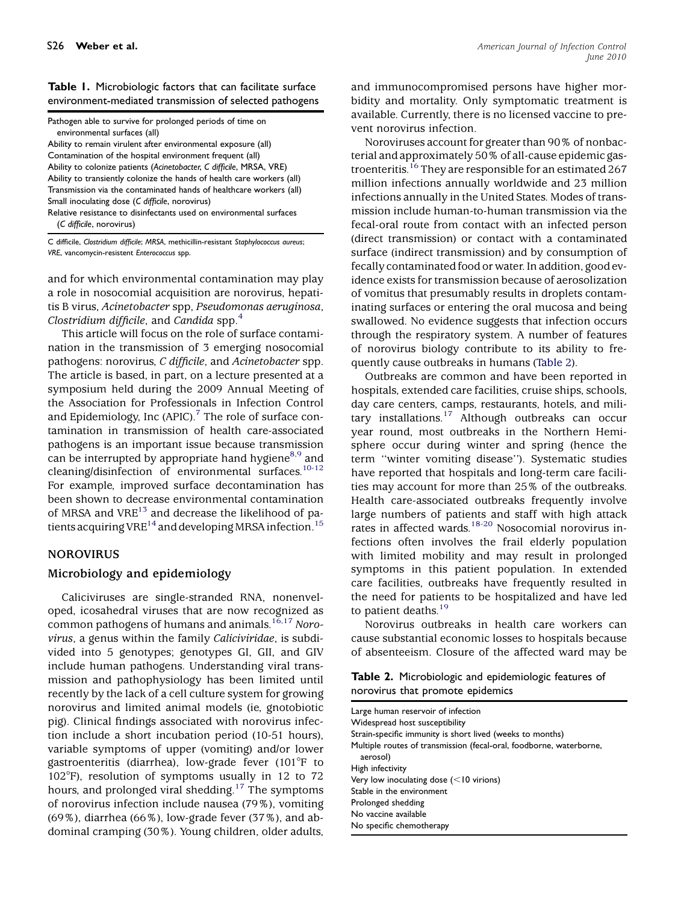#### <span id="page-1-0"></span>Table 1. Microbiologic factors that can facilitate surface environment-mediated transmission of selected pathogens

Pathogen able to survive for prolonged periods of time on environmental surfaces (all)

Ability to remain virulent after environmental exposure (all) Contamination of the hospital environment frequent (all) Ability to colonize patients (Acinetobacter, C difficile, MRSA, VRE) Ability to transiently colonize the hands of health care workers (all) Transmission via the contaminated hands of healthcare workers (all) Small inoculating dose (C difficile, norovirus)

Relative resistance to disinfectants used on environmental surfaces (C difficile, norovirus)

C difficile, Clostridium difficile; MRSA, methicillin-resistant Staphylococcus aureus; VRE, vancomycin-resistent Enterococcus spp.

and for which environmental contamination may play a role in nosocomial acquisition are norovirus, hepatitis B virus, Acinetobacter spp, Pseudomonas aeruginosa, Clostridium difficile, and Candida spp. $<sup>4</sup>$  $<sup>4</sup>$  $<sup>4</sup>$ </sup>

This article will focus on the role of surface contamination in the transmission of 3 emerging nosocomial pathogens: norovirus, C difficile, and Acinetobacter spp. The article is based, in part, on a lecture presented at a symposium held during the 2009 Annual Meeting of the Association for Professionals in Infection Control and Epidemiology, Inc  $(APIC)$ .<sup>[7](#page-7-0)</sup> The role of surface contamination in transmission of health care-associated pathogens is an important issue because transmission can be interrupted by appropriate hand hygiene<sup>8,9</sup> and cleaning/disinfection of environmental surfaces.<sup>10-12</sup> For example, improved surface decontamination has been shown to decrease environmental contamination of MRSA and VRE $^{13}$  and decrease the likelihood of patients acquiring VRE<sup>14</sup> and developing MRSA infection.<sup>15</sup>

## NOROVIRUS

## Microbiology and epidemiology

Caliciviruses are single-stranded RNA, nonenveloped, icosahedral viruses that are now recognized as common pathogens of humans and animals.<sup>[16,17](#page-7-0)</sup> Norovirus, a genus within the family Caliciviridae, is subdivided into 5 genotypes; genotypes GI, GII, and GIV include human pathogens. Understanding viral transmission and pathophysiology has been limited until recently by the lack of a cell culture system for growing norovirus and limited animal models (ie, gnotobiotic pig). Clinical findings associated with norovirus infection include a short incubation period (10-51 hours), variable symptoms of upper (vomiting) and/or lower gastroenteritis (diarrhea), low-grade fever  $(101^{\circ}F$  to  $102^{\circ}$ F), resolution of symptoms usually in 12 to 72 hours, and prolonged viral shedding.<sup>[17](#page-7-0)</sup> The symptoms of norovirus infection include nausea (79%), vomiting  $(69\%)$ , diarrhea  $(66\%)$ , low-grade fever  $(37\%)$ , and abdominal cramping (30%). Young children, older adults,

and immunocompromised persons have higher morbidity and mortality. Only symptomatic treatment is available. Currently, there is no licensed vaccine to prevent norovirus infection.

Noroviruses account for greater than 90% of nonbacterial and approximately 50% of all-cause epidemic gas-troenteritis.<sup>[16](#page-7-0)</sup> They are responsible for an estimated 267 million infections annually worldwide and 23 million infections annually in the United States. Modes of transmission include human-to-human transmission via the fecal-oral route from contact with an infected person (direct transmission) or contact with a contaminated surface (indirect transmission) and by consumption of fecally contaminated food or water. In addition, good evidence exists for transmission because of aerosolization of vomitus that presumably results in droplets contaminating surfaces or entering the oral mucosa and being swallowed. No evidence suggests that infection occurs through the respiratory system. A number of features of norovirus biology contribute to its ability to frequently cause outbreaks in humans (Table 2).

Outbreaks are common and have been reported in hospitals, extended care facilities, cruise ships, schools, day care centers, camps, restaurants, hotels, and mili-tary installations.<sup>[17](#page-7-0)</sup> Although outbreaks can occur year round, most outbreaks in the Northern Hemisphere occur during winter and spring (hence the term ''winter vomiting disease''). Systematic studies have reported that hospitals and long-term care facilities may account for more than 25% of the outbreaks. Health care-associated outbreaks frequently involve large numbers of patients and staff with high attack rates in affected wards.[18-20](#page-7-0) Nosocomial norovirus infections often involves the frail elderly population with limited mobility and may result in prolonged symptoms in this patient population. In extended care facilities, outbreaks have frequently resulted in the need for patients to be hospitalized and have led to patient deaths. $19$ 

Norovirus outbreaks in health care workers can cause substantial economic losses to hospitals because of absenteeism. Closure of the affected ward may be

Table 2. Microbiologic and epidemiologic features of norovirus that promote epidemics

| Large human reservoir of infection<br>Widespread host susceptibility            |
|---------------------------------------------------------------------------------|
| Strain-specific immunity is short lived (weeks to months)                       |
| Multiple routes of transmission (fecal-oral, foodborne, waterborne,<br>aerosol) |
| High infectivity                                                                |
| Very low inoculating dose $(<10$ virions)                                       |
| Stable in the environment                                                       |
| Prolonged shedding                                                              |
| No vaccine available                                                            |
| No specific chemotherapy                                                        |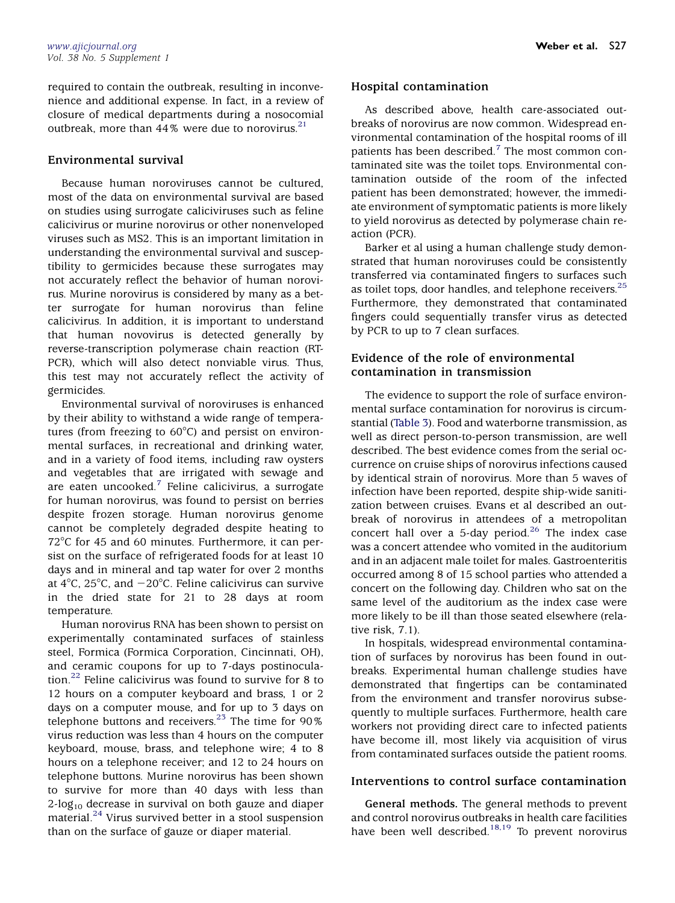required to contain the outbreak, resulting in inconvenience and additional expense. In fact, in a review of closure of medical departments during a nosocomial outbreak, more than  $44\%$  were due to norovirus.<sup>21</sup>

#### Environmental survival

Because human noroviruses cannot be cultured, most of the data on environmental survival are based on studies using surrogate caliciviruses such as feline calicivirus or murine norovirus or other nonenveloped viruses such as MS2. This is an important limitation in understanding the environmental survival and susceptibility to germicides because these surrogates may not accurately reflect the behavior of human norovirus. Murine norovirus is considered by many as a better surrogate for human norovirus than feline calicivirus. In addition, it is important to understand that human novovirus is detected generally by reverse-transcription polymerase chain reaction (RT-PCR), which will also detect nonviable virus. Thus, this test may not accurately reflect the activity of germicides.

Environmental survival of noroviruses is enhanced by their ability to withstand a wide range of temperatures (from freezing to  $60^{\circ}$ C) and persist on environmental surfaces, in recreational and drinking water, and in a variety of food items, including raw oysters and vegetables that are irrigated with sewage and are eaten uncooked.[7](#page-7-0) Feline calicivirus, a surrogate for human norovirus, was found to persist on berries despite frozen storage. Human norovirus genome cannot be completely degraded despite heating to  $72^{\circ}$ C for 45 and 60 minutes. Furthermore, it can persist on the surface of refrigerated foods for at least 10 days and in mineral and tap water for over 2 months at  $4^{\circ}$ C,  $25^{\circ}$ C, and  $-20^{\circ}$ C. Feline calicivirus can survive in the dried state for 21 to 28 days at room temperature.

Human norovirus RNA has been shown to persist on experimentally contaminated surfaces of stainless steel, Formica (Formica Corporation, Cincinnati, OH), and ceramic coupons for up to 7-days postinoculation.[22](#page-7-0) Feline calicivirus was found to survive for 8 to 12 hours on a computer keyboard and brass, 1 or 2 days on a computer mouse, and for up to 3 days on telephone buttons and receivers.<sup>[23](#page-7-0)</sup> The time for  $90\%$ virus reduction was less than 4 hours on the computer keyboard, mouse, brass, and telephone wire; 4 to 8 hours on a telephone receiver; and 12 to 24 hours on telephone buttons. Murine norovirus has been shown to survive for more than 40 days with less than  $2$ -log<sub>10</sub> decrease in survival on both gauze and diaper material.[24](#page-7-0) Virus survived better in a stool suspension than on the surface of gauze or diaper material.

#### Hospital contamination

As described above, health care-associated outbreaks of norovirus are now common. Widespread environmental contamination of the hospital rooms of ill patients has been described.<sup>[7](#page-7-0)</sup> The most common contaminated site was the toilet tops. Environmental contamination outside of the room of the infected patient has been demonstrated; however, the immediate environment of symptomatic patients is more likely to yield norovirus as detected by polymerase chain reaction (PCR).

Barker et al using a human challenge study demonstrated that human noroviruses could be consistently transferred via contaminated fingers to surfaces such as toilet tops, door handles, and telephone receivers.<sup>25</sup> Furthermore, they demonstrated that contaminated fingers could sequentially transfer virus as detected by PCR to up to 7 clean surfaces.

## Evidence of the role of environmental contamination in transmission

The evidence to support the role of surface environmental surface contamination for norovirus is circumstantial [\(Table 3\)](#page-3-0). Food and waterborne transmission, as well as direct person-to-person transmission, are well described. The best evidence comes from the serial occurrence on cruise ships of norovirus infections caused by identical strain of norovirus. More than 5 waves of infection have been reported, despite ship-wide sanitization between cruises. Evans et al described an outbreak of norovirus in attendees of a metropolitan concert hall over a 5-day period.<sup>[26](#page-7-0)</sup> The index case was a concert attendee who vomited in the auditorium and in an adjacent male toilet for males. Gastroenteritis occurred among 8 of 15 school parties who attended a concert on the following day. Children who sat on the same level of the auditorium as the index case were more likely to be ill than those seated elsewhere (relative risk, 7.1).

In hospitals, widespread environmental contamination of surfaces by norovirus has been found in outbreaks. Experimental human challenge studies have demonstrated that fingertips can be contaminated from the environment and transfer norovirus subsequently to multiple surfaces. Furthermore, health care workers not providing direct care to infected patients have become ill, most likely via acquisition of virus from contaminated surfaces outside the patient rooms.

## Interventions to control surface contamination

General methods. The general methods to prevent and control norovirus outbreaks in health care facilities have been well described. $18,19$  To prevent norovirus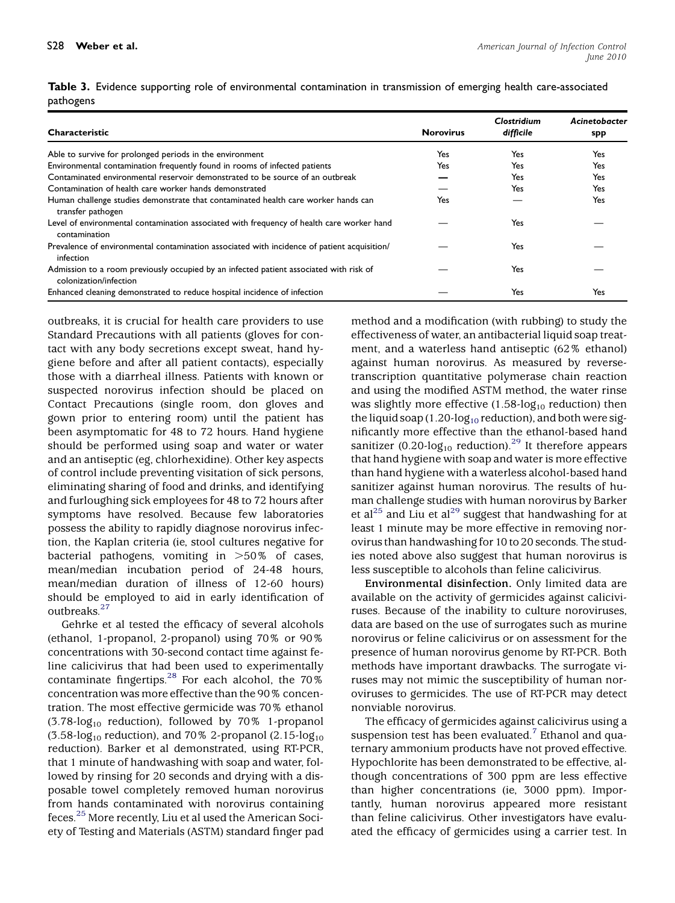| Characteristic                                                                                                   | <b>Norovirus</b> | Clostridium<br>difficile | Acinetobacter<br>spp |
|------------------------------------------------------------------------------------------------------------------|------------------|--------------------------|----------------------|
| Able to survive for prolonged periods in the environment                                                         | Yes              | Yes                      | Yes                  |
| Environmental contamination frequently found in rooms of infected patients                                       | Yes              | Yes                      | Yes                  |
| Contaminated environmental reservoir demonstrated to be source of an outbreak                                    |                  | Yes                      | Yes                  |
| Contamination of health care worker hands demonstrated                                                           |                  | Yes                      | Yes                  |
| Human challenge studies demonstrate that contaminated health care worker hands can<br>transfer pathogen          | Yes              |                          | Yes                  |
| Level of environmental contamination associated with frequency of health care worker hand<br>contamination       |                  | Yes                      |                      |
| Prevalence of environmental contamination associated with incidence of patient acquisition/<br>infection         |                  | Yes                      |                      |
| Admission to a room previously occupied by an infected patient associated with risk of<br>colonization/infection |                  | Yes                      |                      |
| Enhanced cleaning demonstrated to reduce hospital incidence of infection                                         |                  | Yes                      | Yes                  |

<span id="page-3-0"></span>Table 3. Evidence supporting role of environmental contamination in transmission of emerging health care-associated pathogens

outbreaks, it is crucial for health care providers to use Standard Precautions with all patients (gloves for contact with any body secretions except sweat, hand hygiene before and after all patient contacts), especially those with a diarrheal illness. Patients with known or suspected norovirus infection should be placed on Contact Precautions (single room, don gloves and gown prior to entering room) until the patient has been asymptomatic for 48 to 72 hours. Hand hygiene should be performed using soap and water or water and an antiseptic (eg, chlorhexidine). Other key aspects of control include preventing visitation of sick persons, eliminating sharing of food and drinks, and identifying and furloughing sick employees for 48 to 72 hours after symptoms have resolved. Because few laboratories possess the ability to rapidly diagnose norovirus infection, the Kaplan criteria (ie, stool cultures negative for bacterial pathogens, vomiting in  $>50\%$  of cases, mean/median incubation period of 24-48 hours, mean/median duration of illness of 12-60 hours) should be employed to aid in early identification of outbreaks.<sup>27</sup>

Gehrke et al tested the efficacy of several alcohols (ethanol, 1-propanol, 2-propanol) using 70% or 90% concentrations with 30-second contact time against feline calicivirus that had been used to experimentally contaminate fingertips.<sup>[28](#page-7-0)</sup> For each alcohol, the  $70\%$ concentration was more effective than the 90% concentration. The most effective germicide was 70% ethanol  $(3.78 \cdot \log_{10}$  reduction), followed by 70% 1-propanol  $(3.58 \cdot \log_{10}$  reduction), and 70% 2-propanol  $(2.15 \cdot \log_{10}$ reduction). Barker et al demonstrated, using RT-PCR, that 1 minute of handwashing with soap and water, followed by rinsing for 20 seconds and drying with a disposable towel completely removed human norovirus from hands contaminated with norovirus containing feces.[25](#page-7-0) More recently, Liu et al used the American Society of Testing and Materials (ASTM) standard finger pad

method and a modification (with rubbing) to study the effectiveness of water, an antibacterial liquid soap treatment, and a waterless hand antiseptic (62% ethanol) against human norovirus. As measured by reversetranscription quantitative polymerase chain reaction and using the modified ASTM method, the water rinse was slightly more effective (1.58-log<sub>10</sub> reduction) then the liquid soap (1.20-log<sub>10</sub> reduction), and both were significantly more effective than the ethanol-based hand sanitizer  $(0.20 \cdot \log_{10}$  reduction).<sup>[29](#page-7-0)</sup> It therefore appears that hand hygiene with soap and water is more effective than hand hygiene with a waterless alcohol-based hand sanitizer against human norovirus. The results of human challenge studies with human norovirus by Barker et al<sup>25</sup> and Liu et al<sup>[29](#page-7-0)</sup> suggest that handwashing for at least 1 minute may be more effective in removing norovirus than handwashing for 10 to 20 seconds. The studies noted above also suggest that human norovirus is less susceptible to alcohols than feline calicivirus.

Environmental disinfection. Only limited data are available on the activity of germicides against caliciviruses. Because of the inability to culture noroviruses, data are based on the use of surrogates such as murine norovirus or feline calicivirus or on assessment for the presence of human norovirus genome by RT-PCR. Both methods have important drawbacks. The surrogate viruses may not mimic the susceptibility of human noroviruses to germicides. The use of RT-PCR may detect nonviable norovirus.

The efficacy of germicides against calicivirus using a suspension test has been evaluated.<sup> $\frac{7}{1}$  $\frac{7}{1}$  $\frac{7}{1}$ </sup> Ethanol and quaternary ammonium products have not proved effective. Hypochlorite has been demonstrated to be effective, although concentrations of 300 ppm are less effective than higher concentrations (ie, 3000 ppm). Importantly, human norovirus appeared more resistant than feline calicivirus. Other investigators have evaluated the efficacy of germicides using a carrier test. In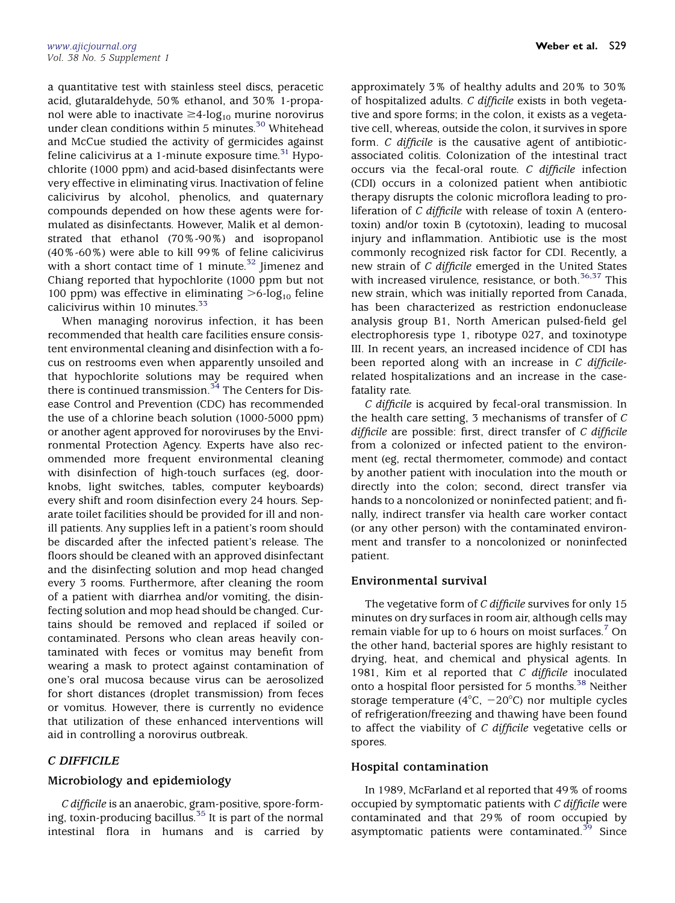a quantitative test with stainless steel discs, peracetic acid, glutaraldehyde, 50% ethanol, and 30% 1-propanol were able to inactivate  $\geq$ 4-log<sub>10</sub> murine norovirus under clean conditions within 5 minutes.<sup>[30](#page-7-0)</sup> Whitehead and McCue studied the activity of germicides against feline calicivirus at a 1-minute exposure time.<sup>[31](#page-7-0)</sup> Hypochlorite (1000 ppm) and acid-based disinfectants were very effective in eliminating virus. Inactivation of feline calicivirus by alcohol, phenolics, and quaternary compounds depended on how these agents were formulated as disinfectants. However, Malik et al demonstrated that ethanol (70%-90%) and isopropanol (40%-60%) were able to kill 99% of feline calicivirus with a short contact time of 1 minute.<sup>[32](#page-7-0)</sup> Jimenez and Chiang reported that hypochlorite (1000 ppm but not 100 ppm) was effective in eliminating  $>6$ -log<sub>10</sub> feline calicivirus within 10 minutes. $33$ 

When managing norovirus infection, it has been recommended that health care facilities ensure consistent environmental cleaning and disinfection with a focus on restrooms even when apparently unsoiled and that hypochlorite solutions may be required when there is continued transmission.<sup>[34](#page-8-0)</sup> The Centers for Disease Control and Prevention (CDC) has recommended the use of a chlorine beach solution (1000-5000 ppm) or another agent approved for noroviruses by the Environmental Protection Agency. Experts have also recommended more frequent environmental cleaning with disinfection of high-touch surfaces (eg, doorknobs, light switches, tables, computer keyboards) every shift and room disinfection every 24 hours. Separate toilet facilities should be provided for ill and nonill patients. Any supplies left in a patient's room should be discarded after the infected patient's release. The floors should be cleaned with an approved disinfectant and the disinfecting solution and mop head changed every 3 rooms. Furthermore, after cleaning the room of a patient with diarrhea and/or vomiting, the disinfecting solution and mop head should be changed. Curtains should be removed and replaced if soiled or contaminated. Persons who clean areas heavily contaminated with feces or vomitus may benefit from wearing a mask to protect against contamination of one's oral mucosa because virus can be aerosolized for short distances (droplet transmission) from feces or vomitus. However, there is currently no evidence that utilization of these enhanced interventions will aid in controlling a norovirus outbreak.

## C DIFFICILE

## Microbiology and epidemiology

C difficile is an anaerobic, gram-positive, spore-forming, toxin-producing bacillus[.35](#page-8-0) It is part of the normal intestinal flora in humans and is carried by

approximately 3% of healthy adults and 20% to 30% of hospitalized adults. C difficile exists in both vegetative and spore forms; in the colon, it exists as a vegetative cell, whereas, outside the colon, it survives in spore form. C difficile is the causative agent of antibioticassociated colitis. Colonization of the intestinal tract occurs via the fecal-oral route. C difficile infection (CDI) occurs in a colonized patient when antibiotic therapy disrupts the colonic microflora leading to proliferation of C difficile with release of toxin A (enterotoxin) and/or toxin B (cytotoxin), leading to mucosal injury and inflammation. Antibiotic use is the most commonly recognized risk factor for CDI. Recently, a new strain of C difficile emerged in the United States with increased virulence, resistance, or both. $36,37$  This new strain, which was initially reported from Canada, has been characterized as restriction endonuclease analysis group B1, North American pulsed-field gel electrophoresis type 1, ribotype 027, and toxinotype III. In recent years, an increased incidence of CDI has been reported along with an increase in C difficilerelated hospitalizations and an increase in the casefatality rate.

C difficile is acquired by fecal-oral transmission. In the health care setting, 3 mechanisms of transfer of C difficile are possible: first, direct transfer of C difficile from a colonized or infected patient to the environment (eg, rectal thermometer, commode) and contact by another patient with inoculation into the mouth or directly into the colon; second, direct transfer via hands to a noncolonized or noninfected patient; and finally, indirect transfer via health care worker contact (or any other person) with the contaminated environment and transfer to a noncolonized or noninfected patient.

## Environmental survival

The vegetative form of C difficile survives for only 15 minutes on dry surfaces in room air, although cells may remain viable for up to 6 hours on moist surfaces.<sup>[7](#page-7-0)</sup> On the other hand, bacterial spores are highly resistant to drying, heat, and chemical and physical agents. In 1981, Kim et al reported that C difficile inoculated onto a hospital floor persisted for 5 months.<sup>[38](#page-8-0)</sup> Neither storage temperature ( $4^{\circ}$ C,  $-20^{\circ}$ C) nor multiple cycles of refrigeration/freezing and thawing have been found to affect the viability of  $C$  difficile vegetative cells or spores.

## Hospital contamination

In 1989, McFarland et al reported that 49% of rooms occupied by symptomatic patients with C difficile were contaminated and that 29% of room occupied by asymptomatic patients were contaminated.<sup>[39](#page-8-0)</sup> Since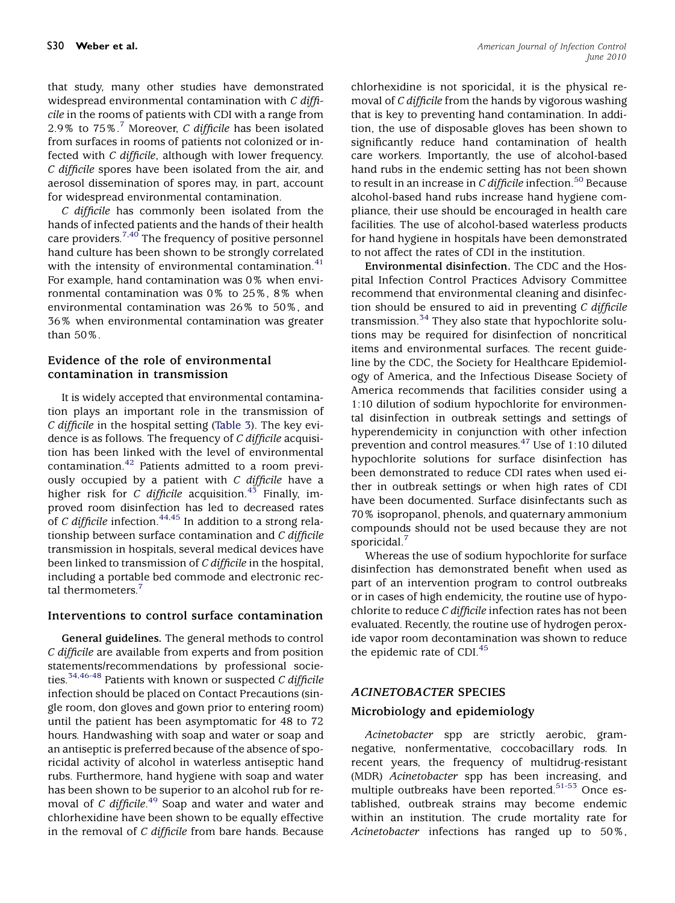that study, many other studies have demonstrated widespread environmental contamination with C difficile in the rooms of patients with CDI with a range from 2.9% to  $75\%$  $75\%$ .<sup>7</sup> Moreover, C difficile has been isolated from surfaces in rooms of patients not colonized or infected with C difficile, although with lower frequency. C difficile spores have been isolated from the air, and aerosol dissemination of spores may, in part, account for widespread environmental contamination.

C difficile has commonly been isolated from the hands of infected patients and the hands of their health care providers.<sup>[7,40](#page-7-0)</sup> The frequency of positive personnel hand culture has been shown to be strongly correlated with the intensity of environmental contamination.<sup>[41](#page-8-0)</sup> For example, hand contamination was 0% when environmental contamination was 0% to 25%, 8% when environmental contamination was 26% to 50%, and 36% when environmental contamination was greater than 50%.

## Evidence of the role of environmental contamination in transmission

It is widely accepted that environmental contamination plays an important role in the transmission of C difficile in the hospital setting [\(Table 3\)](#page-3-0). The key evidence is as follows. The frequency of C difficile acquisition has been linked with the level of environmental contamination.[42](#page-8-0) Patients admitted to a room previously occupied by a patient with  $C$  difficile have a higher risk for C difficile acquisition.<sup>[43](#page-8-0)</sup> Finally, improved room disinfection has led to decreased rates of C difficile infection.<sup>[44,45](#page-8-0)</sup> In addition to a strong relationship between surface contamination and C difficile transmission in hospitals, several medical devices have been linked to transmission of C difficile in the hospital, including a portable bed commode and electronic rec-tal thermometers.<sup>[7](#page-7-0)</sup>

## Interventions to control surface contamination

General guidelines. The general methods to control C difficile are available from experts and from position statements/recommendations by professional socie-ties.<sup>[34,46-48](#page-8-0)</sup> Patients with known or suspected C difficile infection should be placed on Contact Precautions (single room, don gloves and gown prior to entering room) until the patient has been asymptomatic for 48 to 72 hours. Handwashing with soap and water or soap and an antiseptic is preferred because of the absence of sporicidal activity of alcohol in waterless antiseptic hand rubs. Furthermore, hand hygiene with soap and water has been shown to be superior to an alcohol rub for re-moval of C difficile.<sup>[49](#page-8-0)</sup> Soap and water and water and chlorhexidine have been shown to be equally effective in the removal of  $C$  difficile from bare hands. Because

chlorhexidine is not sporicidal, it is the physical removal of C difficile from the hands by vigorous washing that is key to preventing hand contamination. In addition, the use of disposable gloves has been shown to significantly reduce hand contamination of health care workers. Importantly, the use of alcohol-based hand rubs in the endemic setting has not been shown to result in an increase in C difficile infection.<sup>[50](#page-8-0)</sup> Because alcohol-based hand rubs increase hand hygiene compliance, their use should be encouraged in health care facilities. The use of alcohol-based waterless products for hand hygiene in hospitals have been demonstrated to not affect the rates of CDI in the institution.

Environmental disinfection. The CDC and the Hospital Infection Control Practices Advisory Committee recommend that environmental cleaning and disinfection should be ensured to aid in preventing  $C$  difficile transmission. $34$  They also state that hypochlorite solutions may be required for disinfection of noncritical items and environmental surfaces. The recent guideline by the CDC, the Society for Healthcare Epidemiology of America, and the Infectious Disease Society of America recommends that facilities consider using a 1:10 dilution of sodium hypochlorite for environmental disinfection in outbreak settings and settings of hyperendemicity in conjunction with other infection prevention and control measures.[47](#page-8-0) Use of 1:10 diluted hypochlorite solutions for surface disinfection has been demonstrated to reduce CDI rates when used either in outbreak settings or when high rates of CDI have been documented. Surface disinfectants such as 70% isopropanol, phenols, and quaternary ammonium compounds should not be used because they are not sporicidal.<sup>[7](#page-7-0)</sup>

Whereas the use of sodium hypochlorite for surface disinfection has demonstrated benefit when used as part of an intervention program to control outbreaks or in cases of high endemicity, the routine use of hypochlorite to reduce C difficile infection rates has not been evaluated. Recently, the routine use of hydrogen peroxide vapor room decontamination was shown to reduce the epidemic rate of CDI. $45$ 

## ACINETOBACTER SPECIES

## Microbiology and epidemiology

Acinetobacter spp are strictly aerobic, gramnegative, nonfermentative, coccobacillary rods. In recent years, the frequency of multidrug-resistant (MDR) Acinetobacter spp has been increasing, and multiple outbreaks have been reported.<sup>[51-53](#page-8-0)</sup> Once established, outbreak strains may become endemic within an institution. The crude mortality rate for Acinetobacter infections has ranged up to 50%,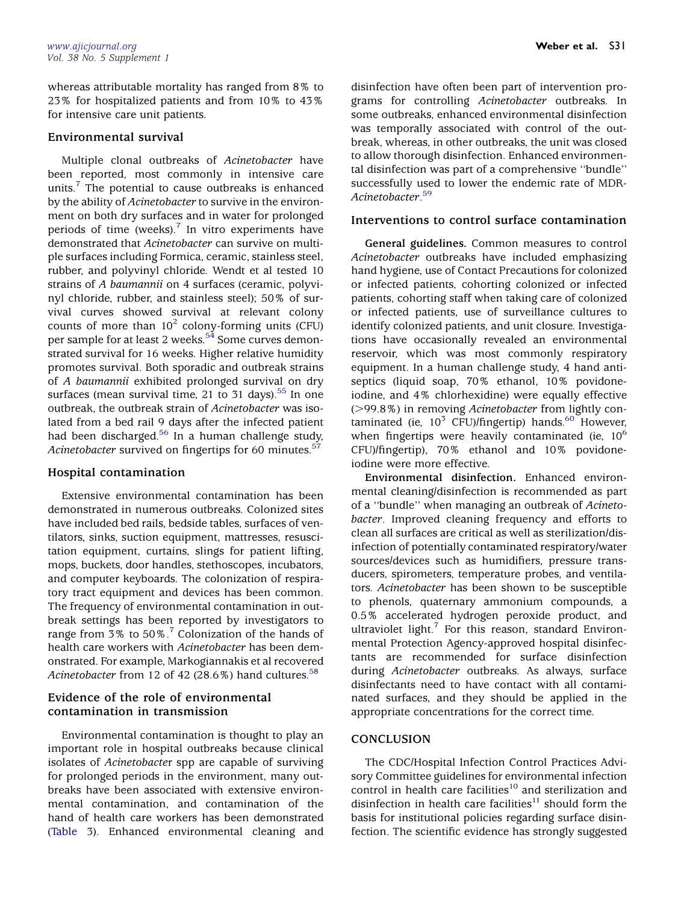whereas attributable mortality has ranged from 8% to 23% for hospitalized patients and from 10% to 43% for intensive care unit patients.

#### Environmental survival

Multiple clonal outbreaks of Acinetobacter have been reported, most commonly in intensive care units. $<sup>7</sup>$  $<sup>7</sup>$  $<sup>7</sup>$  The potential to cause outbreaks is enhanced</sup> by the ability of Acinetobacter to survive in the environment on both dry surfaces and in water for prolonged periods of time (weeks). $7$  In vitro experiments have demonstrated that Acinetobacter can survive on multiple surfaces including Formica, ceramic, stainless steel, rubber, and polyvinyl chloride. Wendt et al tested 10 strains of A baumannii on 4 surfaces (ceramic, polyvinyl chloride, rubber, and stainless steel); 50% of survival curves showed survival at relevant colony counts of more than  $10^2$  $10^2$  colony-forming units (CFU) per sample for at least 2 weeks.<sup>[54](#page-8-0)</sup> Some curves demonstrated survival for 16 weeks. Higher relative humidity promotes survival. Both sporadic and outbreak strains of A baumannii exhibited prolonged survival on dry surfaces (mean survival time, 21 to 31 days).<sup>[55](#page-8-0)</sup> In one outbreak, the outbreak strain of Acinetobacter was isolated from a bed rail 9 days after the infected patient had been discharged.<sup>[56](#page-8-0)</sup> In a human challenge study, Acinetobacter survived on fingertips for 60 minutes.<sup>[57](#page-8-0)</sup>

## Hospital contamination

Extensive environmental contamination has been demonstrated in numerous outbreaks. Colonized sites have included bed rails, bedside tables, surfaces of ventilators, sinks, suction equipment, mattresses, resuscitation equipment, curtains, slings for patient lifting, mops, buckets, door handles, stethoscopes, incubators, and computer keyboards. The colonization of respiratory tract equipment and devices has been common. The frequency of environmental contamination in outbreak settings has been reported by investigators to range from  $3\%$  to  $50\%$ .<sup>[7](#page-7-0)</sup> Colonization of the hands of health care workers with Acinetobacter has been demonstrated. For example, Markogiannakis et al recovered Acinetobacter from 12 of 42 (28.6%) hand cultures.<sup>[58](#page-8-0)</sup>

## Evidence of the role of environmental contamination in transmission

Environmental contamination is thought to play an important role in hospital outbreaks because clinical isolates of Acinetobacter spp are capable of surviving for prolonged periods in the environment, many outbreaks have been associated with extensive environmental contamination, and contamination of the hand of health care workers has been demonstrated [\(Table 3\)](#page-3-0). Enhanced environmental cleaning and disinfection have often been part of intervention programs for controlling Acinetobacter outbreaks. In some outbreaks, enhanced environmental disinfection was temporally associated with control of the outbreak, whereas, in other outbreaks, the unit was closed to allow thorough disinfection. Enhanced environmental disinfection was part of a comprehensive ''bundle'' successfully used to lower the endemic rate of MDR-Acinetobacter. [59](#page-8-0)

#### Interventions to control surface contamination

General guidelines. Common measures to control Acinetobacter outbreaks have included emphasizing hand hygiene, use of Contact Precautions for colonized or infected patients, cohorting colonized or infected patients, cohorting staff when taking care of colonized or infected patients, use of surveillance cultures to identify colonized patients, and unit closure. Investigations have occasionally revealed an environmental reservoir, which was most commonly respiratory equipment. In a human challenge study, 4 hand antiseptics (liquid soap, 70% ethanol, 10% povidoneiodine, and 4% chlorhexidine) were equally effective (>99.8%) in removing Acinetobacter from lightly contaminated (ie,  $10^3$  CFU)/fingertip) hands.<sup>[60](#page-8-0)</sup> However, when fingertips were heavily contaminated (ie,  $10<sup>6</sup>$ CFU)/fingertip), 70% ethanol and 10% povidoneiodine were more effective.

Environmental disinfection. Enhanced environmental cleaning/disinfection is recommended as part of a ''bundle'' when managing an outbreak of Acinetobacter. Improved cleaning frequency and efforts to clean all surfaces are critical as well as sterilization/disinfection of potentially contaminated respiratory/water sources/devices such as humidifiers, pressure transducers, spirometers, temperature probes, and ventilators. Acinetobacter has been shown to be susceptible to phenols, quaternary ammonium compounds, a 0.5% accelerated hydrogen peroxide product, and ultraviolet light. $<sup>7</sup>$  $<sup>7</sup>$  $<sup>7</sup>$  For this reason, standard Environ-</sup> mental Protection Agency-approved hospital disinfectants are recommended for surface disinfection during Acinetobacter outbreaks. As always, surface disinfectants need to have contact with all contaminated surfaces, and they should be applied in the appropriate concentrations for the correct time.

## **CONCLUSION**

The CDC/Hospital Infection Control Practices Advisory Committee guidelines for environmental infection control in health care facilities<sup>[10](#page-7-0)</sup> and sterilization and disinfection in health care facilities<sup>[11](#page-7-0)</sup> should form the basis for institutional policies regarding surface disinfection. The scientific evidence has strongly suggested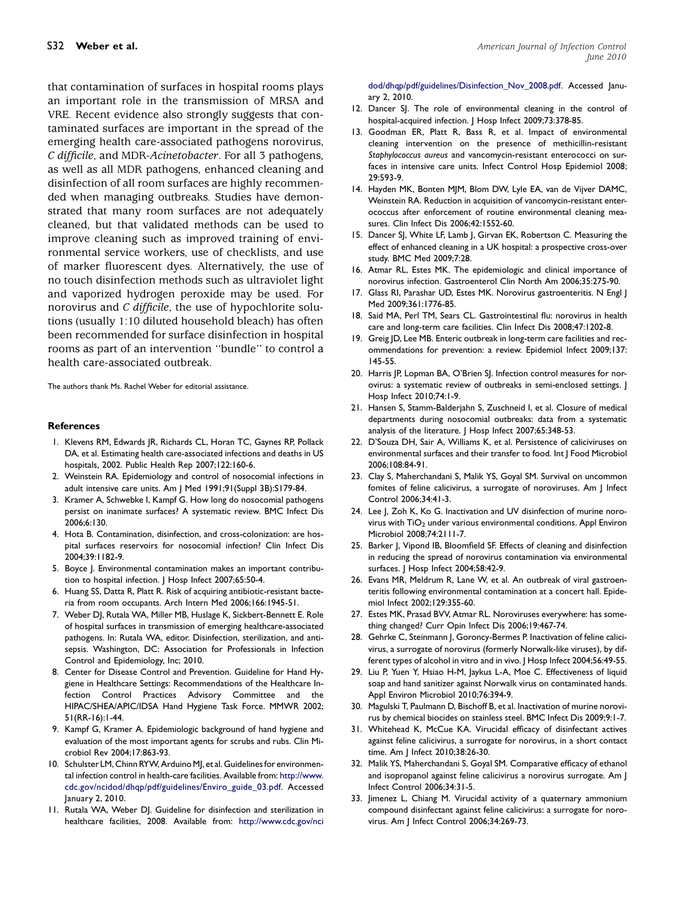<span id="page-7-0"></span>that contamination of surfaces in hospital rooms plays an important role in the transmission of MRSA and VRE. Recent evidence also strongly suggests that contaminated surfaces are important in the spread of the emerging health care-associated pathogens norovirus, C difficile, and MDR-Acinetobacter. For all 3 pathogens, as well as all MDR pathogens, enhanced cleaning and disinfection of all room surfaces are highly recommended when managing outbreaks. Studies have demonstrated that many room surfaces are not adequately cleaned, but that validated methods can be used to improve cleaning such as improved training of environmental service workers, use of checklists, and use of marker fluorescent dyes. Alternatively, the use of no touch disinfection methods such as ultraviolet light and vaporized hydrogen peroxide may be used. For norovirus and C difficile, the use of hypochlorite solutions (usually 1:10 diluted household bleach) has often been recommended for surface disinfection in hospital rooms as part of an intervention ''bundle'' to control a health care-associated outbreak.

The authors thank Ms. Rachel Weber for editorial assistance.

#### **References**

- 1. Klevens RM, Edwards JR, Richards CL, Horan TC, Gaynes RP, Pollack DA, et al. Estimating health care-associated infections and deaths in US hospitals, 2002. Public Health Rep 2007;122:160-6.
- 2. Weinstein RA. Epidemiology and control of nosocomial infections in adult intensive care units. Am J Med 1991;91(Suppl 3B):S179-84.
- 3. Kramer A, Schwebke I, Kampf G. How long do nosocomial pathogens persist on inanimate surfaces? A systematic review. BMC Infect Dis 2006;6:130.
- 4. Hota B. Contamination, disinfection, and cross-colonization: are hospital surfaces reservoirs for nosocomial infection? Clin Infect Dis 2004;39:1182-9.
- 5. Boyce J. Environmental contamination makes an important contribution to hospital infection. J Hosp Infect 2007;65:50-4.
- 6. Huang SS, Datta R, Platt R. Risk of acquiring antibiotic-resistant bacteria from room occupants. Arch Intern Med 2006;166:1945-51.
- 7. Weber DJ, Rutala WA, Miller MB, Huslage K, Sickbert-Bennett E. Role of hospital surfaces in transmission of emerging healthcare-associated pathogens. In: Rutala WA, editor. Disinfection, sterilization, and antisepsis. Washington, DC: Association for Professionals in Infection Control and Epidemiology, Inc; 2010.
- 8. Center for Disease Control and Prevention. Guideline for Hand Hygiene in Healthcare Settings: Recommendations of the Healthcare Infection Control Practices Advisory Committee and the HIPAC/SHEA/APIC/IDSA Hand Hygiene Task Force. MMWR 2002; 51(RR-16):1-44.
- 9. Kampf G, Kramer A. Epidemiologic background of hand hygiene and evaluation of the most important agents for scrubs and rubs. Clin Microbiol Rev 2004;17:863-93.
- 10. Schulster LM, Chinn RYW, Arduino MJ, et al. Guidelines for environmental infection control in health-care facilities. Available from: [http://www.](http://www.cdc.gov/ncidod/dhqp/pdf/guidelines/Enviro_guide_03.pdf) [cdc.gov/ncidod/dhqp/pdf/guidelines/Enviro\\_guide\\_03.pdf.](http://www.cdc.gov/ncidod/dhqp/pdf/guidelines/Enviro_guide_03.pdf) Accessed January 2, 2010.
- 11. Rutala WA, Weber DJ. Guideline for disinfection and sterilization in healthcare facilities, 2008. Available from: [http://www.cdc.gov/nci](http://www.cdc.gov/ncidod/dhqp/pdf/guidelines/Disinfection_Nov_2008.pdf)

[dod/dhqp/pdf/guidelines/Disinfection\\_Nov\\_2008.pdf](http://www.cdc.gov/ncidod/dhqp/pdf/guidelines/Disinfection_Nov_2008.pdf). Accessed January 2, 2010.

- 12. Dancer SJ. The role of environmental cleaning in the control of hospital-acquired infection. | Hosp Infect 2009;73:378-85.
- 13. Goodman ER, Platt R, Bass R, et al. Impact of environmental cleaning intervention on the presence of methicillin-resistant Staphylococcus aureus and vancomycin-resistant enterococci on surfaces in intensive care units. Infect Control Hosp Epidemiol 2008; 29:593-9.
- 14. Hayden MK, Bonten MJM, Blom DW, Lyle EA, van de Vijver DAMC, Weinstein RA. Reduction in acquisition of vancomycin-resistant enterococcus after enforcement of routine environmental cleaning measures. Clin Infect Dis 2006;42:1552-60.
- 15. Dancer SJ, White LF, Lamb J, Girvan EK, Robertson C. Measuring the effect of enhanced cleaning in a UK hospital: a prospective cross-over study. BMC Med 2009;7:28.
- 16. Atmar RL, Estes MK. The epidemiologic and clinical importance of norovirus infection. Gastroenterol Clin North Am 2006;35:275-90.
- 17. Glass RI, Parashar UD, Estes MK. Norovirus gastroenteritis. N Engl J Med 2009;361:1776-85.
- 18. Said MA, Perl TM, Sears CL. Gastrointestinal flu: norovirus in health care and long-term care facilities. Clin Infect Dis 2008;47:1202-8.
- 19. Greig JD, Lee MB. Enteric outbreak in long-term care facilities and recommendations for prevention: a review. Epidemiol Infect 2009;137: 145-55.
- 20. Harris JP, Lopman BA, O'Brien SJ. Infection control measures for norovirus: a systematic review of outbreaks in semi-enclosed settings. J Hosp Infect 2010;74:1-9.
- 21. Hansen S, Stamm-Balderjahn S, Zuschneid I, et al. Closure of medical departments during nosocomial outbreaks: data from a systematic analysis of the literature. | Hosp Infect 2007;65:348-53.
- 22. D'Souza DH, Sair A, Williams K, et al. Persistence of caliciviruses on environmental surfaces and their transfer to food. Int J Food Microbiol 2006;108:84-91.
- 23. Clay S, Maherchandani S, Malik YS, Goyal SM. Survival on uncommon fomites of feline calicivirus, a surrogate of noroviruses. Am J Infect Control 2006;34:41-3.
- 24. Lee J, Zoh K, Ko G. Inactivation and UV disinfection of murine norovirus with  $TiO<sub>2</sub>$  under various environmental conditions. Appl Environ Microbiol 2008;74:2111-7.
- 25. Barker J, Vipond IB, Bloomfield SF. Effects of cleaning and disinfection in reducing the spread of norovirus contamination via environmental surfaces. J Hosp Infect 2004;58:42-9.
- 26. Evans MR, Meldrum R, Lane W, et al. An outbreak of viral gastroenteritis following environmental contamination at a concert hall. Epidemiol Infect 2002;129:355-60.
- 27. Estes MK, Prasad BVV, Atmar RL. Noroviruses everywhere: has something changed? Curr Opin Infect Dis 2006;19:467-74.
- 28. Gehrke C, Steinmann J, Goroncy-Bermes P. Inactivation of feline calicivirus, a surrogate of norovirus (formerly Norwalk-like viruses), by different types of alcohol in vitro and in vivo. J Hosp Infect 2004;56:49-55.
- 29. Liu P, Yuen Y, Hsiao H-M, Jaykus L-A, Moe C. Effectiveness of liquid soap and hand sanitizer against Norwalk virus on contaminated hands. Appl Environ Microbiol 2010;76:394-9.
- 30. Magulski T, Paulmann D, Bischoff B, et al. Inactivation of murine norovirus by chemical biocides on stainless steel. BMC Infect Dis 2009;9:1-7.
- 31. Whitehead K, McCue KA. Virucidal efficacy of disinfectant actives against feline calicivirus, a surrogate for norovirus, in a short contact time. Am J Infect 2010;38:26-30.
- 32. Malik YS, Maherchandani S, Goyal SM. Comparative efficacy of ethanol and isopropanol against feline calicivirus a norovirus surrogate. Am J Infect Control 2006;34:31-5.
- 33. Jimenez L, Chiang M. Virucidal activity of a quaternary ammonium compound disinfectant against feline calicivirus: a surrogate for norovirus. Am J Infect Control 2006;34:269-73.